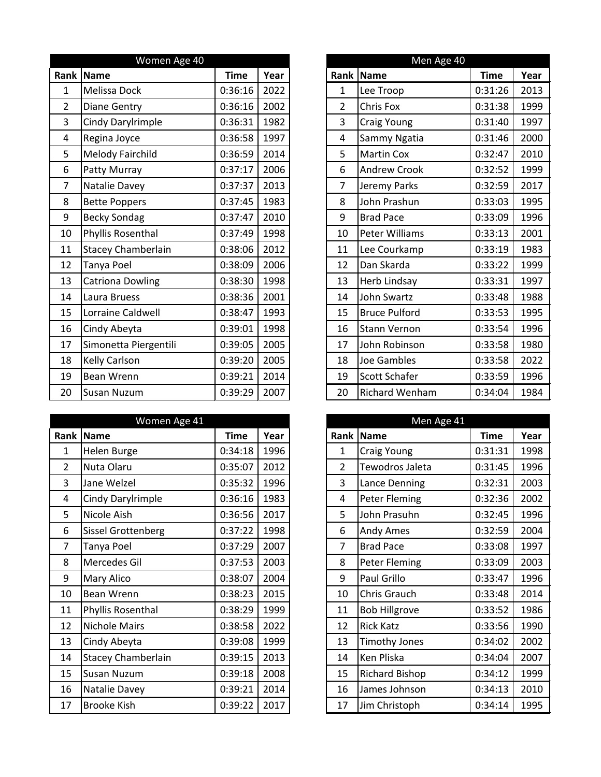|                | Women Age 40              |             |      |                | Men Age 40            |             |      |
|----------------|---------------------------|-------------|------|----------------|-----------------------|-------------|------|
| Rank           | Name                      | <b>Time</b> | Year | Rank           | Name                  | <b>Time</b> | Year |
| $\mathbf{1}$   | Melissa Dock              | 0:36:16     | 2022 | $\mathbf{1}$   | Lee Troop             | 0:31:26     | 2013 |
| $\overline{2}$ | <b>Diane Gentry</b>       | 0:36:16     | 2002 | $\overline{2}$ | Chris Fox             | 0:31:38     | 1999 |
| 3              | Cindy Darylrimple         | 0:36:31     | 1982 | 3              | Craig Young           | 0:31:40     | 1997 |
| 4              | Regina Joyce              | 0:36:58     | 1997 | $\overline{4}$ | Sammy Ngatia          | 0:31:46     | 2000 |
| 5              | Melody Fairchild          | 0:36:59     | 2014 | 5              | <b>Martin Cox</b>     | 0:32:47     | 2010 |
| 6              | Patty Murray              | 0:37:17     | 2006 | 6              | <b>Andrew Crook</b>   | 0:32:52     | 1999 |
| $\overline{7}$ | Natalie Davey             | 0:37:37     | 2013 | $\overline{7}$ | Jeremy Parks          | 0:32:59     | 2017 |
| 8              | <b>Bette Poppers</b>      | 0:37:45     | 1983 | 8              | John Prashun          | 0:33:03     | 1995 |
| 9              | <b>Becky Sondag</b>       | 0:37:47     | 2010 | 9              | <b>Brad Pace</b>      | 0:33:09     | 1996 |
| 10             | Phyllis Rosenthal         | 0:37:49     | 1998 | 10             | Peter Williams        | 0:33:13     | 2001 |
| 11             | <b>Stacey Chamberlain</b> | 0:38:06     | 2012 | 11             | Lee Courkamp          | 0:33:19     | 1983 |
| 12             | Tanya Poel                | 0:38:09     | 2006 | 12             | Dan Skarda            | 0:33:22     | 1999 |
| 13             | <b>Catriona Dowling</b>   | 0:38:30     | 1998 | 13             | Herb Lindsay          | 0:33:31     | 1997 |
| 14             | Laura Bruess              | 0:38:36     | 2001 | 14             | John Swartz           | 0:33:48     | 1988 |
| 15             | Lorraine Caldwell         | 0:38:47     | 1993 | 15             | <b>Bruce Pulford</b>  | 0:33:53     | 1995 |
| 16             | Cindy Abeyta              | 0:39:01     | 1998 | 16             | <b>Stann Vernon</b>   | 0:33:54     | 1996 |
| 17             | Simonetta Piergentili     | 0:39:05     | 2005 | 17             | John Robinson         | 0:33:58     | 1980 |
| 18             | <b>Kelly Carlson</b>      | 0:39:20     | 2005 | 18             | Joe Gambles           | 0:33:58     | 2022 |
| 19             | <b>Bean Wrenn</b>         | 0:39:21     | 2014 | 19             | Scott Schafer         | 0:33:59     | 1996 |
| 20             | <b>Susan Nuzum</b>        | 0:39:29     | 2007 | 20             | <b>Richard Wenham</b> | 0:34:04     | 1984 |

|                | Women Age 41              |             |      |                | Men Age 41            |             |      |
|----------------|---------------------------|-------------|------|----------------|-----------------------|-------------|------|
| Rank           | Name                      | <b>Time</b> | Year | Rank           | Name                  | <b>Time</b> | Year |
| 1              | Helen Burge               | 0:34:18     | 1996 | $\mathbf{1}$   | Craig Young           | 0:31:31     | 1998 |
| $\overline{2}$ | Nuta Olaru                | 0:35:07     | 2012 | $\overline{2}$ | Tewodros Jaleta       | 0:31:45     | 1996 |
| 3              | Jane Welzel               | 0:35:32     | 1996 | $\overline{3}$ | Lance Denning         | 0:32:31     | 2003 |
| 4              | Cindy Darylrimple         | 0:36:16     | 1983 | 4              | Peter Fleming         | 0:32:36     | 2002 |
| 5              | Nicole Aish               | 0:36:56     | 2017 | 5              | John Prasuhn          | 0:32:45     | 1996 |
| 6              | <b>Sissel Grottenberg</b> | 0:37:22     | 1998 | 6              | <b>Andy Ames</b>      | 0:32:59     | 2004 |
| $\overline{7}$ | Tanya Poel                | 0:37:29     | 2007 | $\overline{7}$ | <b>Brad Pace</b>      | 0:33:08     | 1997 |
| 8              | Mercedes Gil              | 0:37:53     | 2003 | 8              | Peter Fleming         | 0:33:09     | 2003 |
| 9              | <b>Mary Alico</b>         | 0:38:07     | 2004 | 9              | Paul Grillo           | 0:33:47     | 1996 |
| 10             | <b>Bean Wrenn</b>         | 0:38:23     | 2015 | 10             | Chris Grauch          | 0:33:48     | 2014 |
| 11             | Phyllis Rosenthal         | 0:38:29     | 1999 | 11             | <b>Bob Hillgrove</b>  | 0:33:52     | 1986 |
| 12             | <b>Nichole Mairs</b>      | 0:38:58     | 2022 | 12             | <b>Rick Katz</b>      | 0:33:56     | 1990 |
| 13             | Cindy Abeyta              | 0:39:08     | 1999 | 13             | <b>Timothy Jones</b>  | 0:34:02     | 2002 |
| 14             | <b>Stacey Chamberlain</b> | 0:39:15     | 2013 | 14             | Ken Pliska            | 0:34:04     | 2007 |
| 15             | <b>Susan Nuzum</b>        | 0:39:18     | 2008 | 15             | <b>Richard Bishop</b> | 0:34:12     | 1999 |
| 16             | Natalie Davey             | 0:39:21     | 2014 | 16             | James Johnson         | 0:34:13     | 2010 |
| 17             | <b>Brooke Kish</b>        | 0:39:22     | 2017 | 17             | Jim Christoph         | 0:34:14     | 1995 |

|                | Men Age 40            |             |      |
|----------------|-----------------------|-------------|------|
| Rank           | <b>Name</b>           | <b>Time</b> | Year |
| 1              | Lee Troop             | 0:31:26     | 2013 |
| $\overline{2}$ | <b>Chris Fox</b>      | 0:31:38     | 1999 |
| 3              | Craig Young           | 0:31:40     | 1997 |
| 4              | Sammy Ngatia          | 0:31:46     | 2000 |
| 5              | <b>Martin Cox</b>     | 0:32:47     | 2010 |
| 6              | <b>Andrew Crook</b>   | 0:32:52     | 1999 |
| 7              | Jeremy Parks          | 0:32:59     | 2017 |
| 8              | John Prashun          | 0:33:03     | 1995 |
| 9              | <b>Brad Pace</b>      | 0:33:09     | 1996 |
| 10             | <b>Peter Williams</b> | 0:33:13     | 2001 |
| 11             | Lee Courkamp          | 0:33:19     | 1983 |
| 12             | Dan Skarda            | 0:33:22     | 1999 |
| 13             | Herb Lindsay          | 0:33:31     | 1997 |
| 14             | <b>John Swartz</b>    | 0:33:48     | 1988 |
| 15             | <b>Bruce Pulford</b>  | 0:33:53     | 1995 |
| 16             | <b>Stann Vernon</b>   | 0:33:54     | 1996 |
| 17             | John Robinson         | 0:33:58     | 1980 |
| 18             | <b>Joe Gambles</b>    | 0:33:58     | 2022 |
| 19             | <b>Scott Schafer</b>  | 0:33:59     | 1996 |
| 20             | <b>Richard Wenham</b> | 0:34:04     | 1984 |

|                | Men Age 41            |             |      |
|----------------|-----------------------|-------------|------|
| Rank           | <b>Name</b>           | <b>Time</b> | Year |
| 1              | <b>Craig Young</b>    | 0:31:31     | 1998 |
| $\overline{2}$ | Tewodros Jaleta       | 0:31:45     | 1996 |
| 3              | Lance Denning         | 0:32:31     | 2003 |
| 4              | Peter Fleming         | 0:32:36     | 2002 |
| 5              | John Prasuhn          | 0:32:45     | 1996 |
| 6              | Andy Ames             | 0:32:59     | 2004 |
| 7              | <b>Brad Pace</b>      | 0:33:08     | 1997 |
| 8              | Peter Fleming         | 0:33:09     | 2003 |
| 9              | Paul Grillo           | 0:33:47     | 1996 |
| 10             | Chris Grauch          | 0:33:48     | 2014 |
| 11             | <b>Bob Hillgrove</b>  | 0:33:52     | 1986 |
| 12             | <b>Rick Katz</b>      | 0:33:56     | 1990 |
| 13             | <b>Timothy Jones</b>  | 0:34:02     | 2002 |
| 14             | Ken Pliska            | 0:34:04     | 2007 |
| 15             | <b>Richard Bishop</b> | 0:34:12     | 1999 |
| 16             | James Johnson         | 0:34:13     | 2010 |
| 17             | Jim Christoph         | 0:34:14     | 1995 |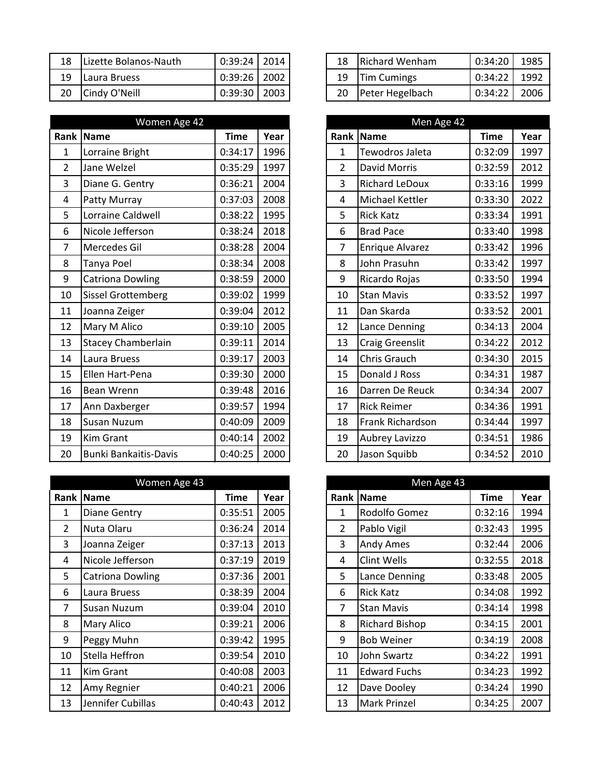| 18 | Lizette Bolanos-Nauth | 0:39:24 | 2014 | 18 | <b>Richard Wenham</b> | 0:34:20 | 1985 |
|----|-----------------------|---------|------|----|-----------------------|---------|------|
| 19 | Laura Bruess          | 0:39:26 | 2002 | 19 | <b>Tim Cumings</b>    | 0:34:22 | 1992 |
| 20 | Cindy O'Neill         | 0:39:30 | 2003 | 20 | Peter Hegelbach       | 0:34:22 | 2006 |

|                | Women Age 42                 |             |      |
|----------------|------------------------------|-------------|------|
|                | Rank   Name                  | <b>Time</b> | Year |
| $\mathbf{1}$   | Lorraine Bright              | 0:34:17     | 1996 |
| $\overline{2}$ | Jane Welzel                  | 0:35:29     | 1997 |
| 3              | Diane G. Gentry              | 0:36:21     | 2004 |
| 4              | Patty Murray                 | 0:37:03     | 2008 |
| 5              | Lorraine Caldwell            | 0:38:22     | 1995 |
| 6              | Nicole Jefferson             | 0:38:24     | 2018 |
| $\overline{7}$ | Mercedes Gil                 | 0:38:28     | 2004 |
| 8              | Tanya Poel                   | 0:38:34     | 2008 |
| 9              | <b>Catriona Dowling</b>      | 0:38:59     | 2000 |
| 10             | <b>Sissel Grottemberg</b>    | 0:39:02     | 1999 |
| 11             | Joanna Zeiger                | 0:39:04     | 2012 |
| 12             | Mary M Alico                 | 0:39:10     | 2005 |
| 13             | <b>Stacey Chamberlain</b>    | 0:39:11     | 2014 |
| 14             | Laura Bruess                 | 0:39:17     | 2003 |
| 15             | Ellen Hart-Pena              | 0:39:30     | 2000 |
| 16             | Bean Wrenn                   | 0:39:48     | 2016 |
| 17             | Ann Daxberger                | 0:39:57     | 1994 |
| 18             | Susan Nuzum                  | 0:40:09     | 2009 |
| 19             | <b>Kim Grant</b>             | 0:40:14     | 2002 |
| 20             | <b>Bunki Bankaitis-Davis</b> | 0:40:25     | 2000 |

|                | Women Age 43            |         |      |                | Men Age 43            |         |      |
|----------------|-------------------------|---------|------|----------------|-----------------------|---------|------|
| Rank           | Name                    | Time    | Year | Rank           | Name                  | Time    | Year |
| 1              | <b>Diane Gentry</b>     | 0:35:51 | 2005 | 1              | Rodolfo Gomez         | 0:32:16 | 1994 |
| $\overline{2}$ | Nuta Olaru              | 0:36:24 | 2014 | $\overline{2}$ | Pablo Vigil           | 0:32:43 | 1995 |
| 3              | Joanna Zeiger           | 0:37:13 | 2013 | 3              | <b>Andy Ames</b>      | 0:32:44 | 2006 |
| 4              | Nicole Jefferson        | 0:37:19 | 2019 | 4              | Clint Wells           | 0:32:55 | 2018 |
| 5              | <b>Catriona Dowling</b> | 0:37:36 | 2001 | 5              | Lance Denning         | 0:33:48 | 2005 |
| 6              | Laura Bruess            | 0:38:39 | 2004 | 6              | <b>Rick Katz</b>      | 0:34:08 | 1992 |
| $\overline{7}$ | <b>Susan Nuzum</b>      | 0:39:04 | 2010 | 7              | <b>Stan Mavis</b>     | 0:34:14 | 1998 |
| 8              | <b>Mary Alico</b>       | 0:39:21 | 2006 | 8              | <b>Richard Bishop</b> | 0:34:15 | 2001 |
| 9              | Peggy Muhn              | 0:39:42 | 1995 | 9              | <b>Bob Weiner</b>     | 0:34:19 | 2008 |
| 10             | Stella Heffron          | 0:39:54 | 2010 | 10             | John Swartz           | 0:34:22 | 1991 |
| 11             | Kim Grant               | 0:40:08 | 2003 | 11             | <b>Edward Fuchs</b>   | 0:34:23 | 1992 |
| 12             | Amy Regnier             | 0:40:21 | 2006 | 12             | Dave Dooley           | 0:34:24 | 1990 |
| 13             | Jennifer Cubillas       | 0:40:43 | 2012 | 13             | <b>Mark Prinzel</b>   | 0:34:25 | 2007 |

| 18 | <b>Richard Wenham</b> | $0:34:20$ 1985   |  |
|----|-----------------------|------------------|--|
|    | 19   Tim Cumings      | $0:34:22$ 1992   |  |
| 20 | Peter Hegelbach       | $0:34:22$   2006 |  |

|                | Men Age 42              |             |      |
|----------------|-------------------------|-------------|------|
| Rank           | <b>Name</b>             | <b>Time</b> | Year |
| 1              | Tewodros Jaleta         | 0:32:09     | 1997 |
| $\overline{2}$ | <b>David Morris</b>     | 0:32:59     | 2012 |
| 3              | <b>Richard LeDoux</b>   | 0:33:16     | 1999 |
| 4              | <b>Michael Kettler</b>  | 0:33:30     | 2022 |
| 5              | <b>Rick Katz</b>        | 0:33:34     | 1991 |
| 6              | <b>Brad Pace</b>        | 0:33:40     | 1998 |
| 7              | <b>Enrique Alvarez</b>  | 0:33:42     | 1996 |
| 8              | John Prasuhn            | 0:33:42     | 1997 |
| 9              | Ricardo Rojas           | 0:33:50     | 1994 |
| 10             | <b>Stan Mavis</b>       | 0:33:52     | 1997 |
| 11             | Dan Skarda              | 0:33:52     | 2001 |
| 12             | Lance Denning           | 0:34:13     | 2004 |
| 13             | <b>Craig Greenslit</b>  | 0:34:22     | 2012 |
| 14             | <b>Chris Grauch</b>     | 0:34:30     | 2015 |
| 15             | Donald J Ross           | 0:34:31     | 1987 |
| 16             | Darren De Reuck         | 0:34:34     | 2007 |
| 17             | <b>Rick Reimer</b>      | 0:34:36     | 1991 |
| 18             | <b>Frank Richardson</b> | 0:34:44     | 1997 |
| 19             | Aubrey Lavizzo          | 0:34:51     | 1986 |
| 20             | Jason Squibb            | 0:34:52     | 2010 |

|      | Men Age 43         |         |      |
|------|--------------------|---------|------|
| Rank | <b>Name</b>        | Time    | Year |
| 1    | Rodolfo Gomez      | 0:32:16 | 1994 |
| 2    | Pablo Vigil        | 0:32:43 | 1995 |
| 3    | <b>Andy Ames</b>   | 0:32:44 | 2006 |
| 4    | Clint Wells        | 0:32:55 | 2018 |
| 5    | Lance Denning      | 0:33:48 | 2005 |
| 6    | Rick Katz          | 0:34:08 | 1992 |
| 7    | Stan Mavis         | 0:34:14 | 1998 |
| 8    | Richard Bishop     | 0:34:15 | 2001 |
| 9    | <b>Bob Weiner</b>  | 0:34:19 | 2008 |
| 10   | <b>John Swartz</b> | 0:34:22 | 1991 |
| 11   | Edward Fuchs       | 0:34:23 | 1992 |
| 12   | Dave Dooley        | 0:34:24 | 1990 |
| 13   | Mark Prinzel       | 0:34:25 | 2007 |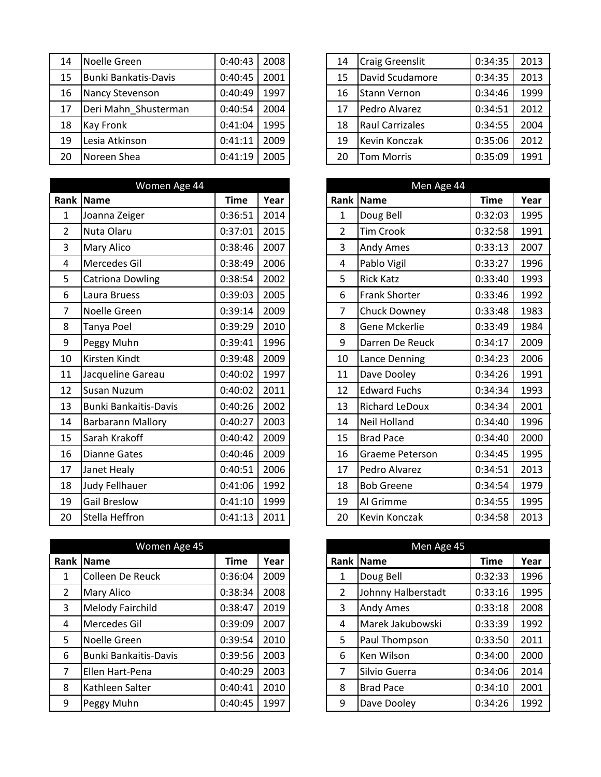| 14 | Noelle Green                | 0:40:43 | 2008 | 14 | <b>Craig Greenslit</b> | 0:34:35 | 2013 |
|----|-----------------------------|---------|------|----|------------------------|---------|------|
| 15 | <b>Bunki Bankatis-Davis</b> | 0:40:45 | 2001 | 15 | David Scudamore        | 0:34:35 | 2013 |
| 16 | Nancy Stevenson             | 0:40:49 | 1997 | 16 | <b>Stann Vernon</b>    | 0:34:46 | 1999 |
| 17 | Deri Mahn Shusterman        | 0:40:54 | 2004 | 17 | Pedro Alvarez          | 0:34:51 | 2012 |
| 18 | <b>Kay Fronk</b>            | 0:41:04 | 1995 | 18 | Raul Carrizales        | 0:34:55 | 2004 |
| 19 | Lesia Atkinson              | 0:41:11 | 2009 | 19 | Kevin Konczak          | 0:35:06 | 2012 |
| 20 | Noreen Shea                 | 0:41:19 | 2005 | 20 | <b>Tom Morris</b>      | 0:35:09 | 1991 |

|                | Women Age 44                 |             |      |
|----------------|------------------------------|-------------|------|
| Rank           | Name                         | <b>Time</b> | Year |
| $\mathbf{1}$   | Joanna Zeiger                | 0:36:51     | 2014 |
| $\overline{2}$ | Nuta Olaru                   | 0:37:01     | 2015 |
| 3              | <b>Mary Alico</b>            | 0:38:46     | 2007 |
| 4              | Mercedes Gil                 | 0:38:49     | 2006 |
| 5              | <b>Catriona Dowling</b>      | 0:38:54     | 2002 |
| 6              | Laura Bruess                 | 0:39:03     | 2005 |
| $\overline{7}$ | Noelle Green                 | 0:39:14     | 2009 |
| 8              | Tanya Poel                   | 0:39:29     | 2010 |
| 9              | Peggy Muhn                   | 0:39:41     | 1996 |
| 10             | Kirsten Kindt                | 0:39:48     | 2009 |
| 11             | Jacqueline Gareau            | 0:40:02     | 1997 |
| 12             | <b>Susan Nuzum</b>           | 0:40:02     | 2011 |
| 13             | <b>Bunki Bankaitis-Davis</b> | 0:40:26     | 2002 |
| 14             | <b>Barbarann Mallory</b>     | 0:40:27     | 2003 |
| 15             | Sarah Krakoff                | 0:40:42     | 2009 |
| 16             | <b>Dianne Gates</b>          | 0:40:46     | 2009 |
| 17             | Janet Healy                  | 0:40:51     | 2006 |
| 18             | Judy Fellhauer               | 0:41:06     | 1992 |
| 19             | <b>Gail Breslow</b>          | 0:41:10     | 1999 |
| 20             | Stella Heffron               | 0:41:13     | 2011 |

|                | Women Age 45                 |             |      |  | Men Age 45     |                    |             |      |
|----------------|------------------------------|-------------|------|--|----------------|--------------------|-------------|------|
|                | Rank Name                    | <b>Time</b> | Year |  |                | <b>Rank Name</b>   | <b>Time</b> | Year |
| 1              | Colleen De Reuck             | 0:36:04     | 2009 |  | 1              | Doug Bell          | 0:32:33     | 1996 |
| $\overline{2}$ | <b>Mary Alico</b>            | 0:38:34     | 2008 |  | $\overline{2}$ | Johnny Halberstadt | 0:33:16     | 1995 |
| 3              | <b>Melody Fairchild</b>      | 0:38:47     | 2019 |  | 3              | <b>Andy Ames</b>   | 0:33:18     | 2008 |
| 4              | Mercedes Gil                 | 0:39:09     | 2007 |  | 4              | Marek Jakubowski   | 0:33:39     | 1992 |
| 5              | Noelle Green                 | 0:39:54     | 2010 |  | 5              | Paul Thompson      | 0:33:50     | 2011 |
| 6              | <b>Bunki Bankaitis-Davis</b> | 0:39:56     | 2003 |  | 6              | Ken Wilson         | 0:34:00     | 2000 |
| 7              | Ellen Hart-Pena              | 0:40:29     | 2003 |  | 7              | Silvio Guerra      | 0:34:06     | 2014 |
| 8              | Kathleen Salter              | 0:40:41     | 2010 |  | 8              | <b>Brad Pace</b>   | 0:34:10     | 2001 |
| 9              | Peggy Muhn                   | 0:40:45     | 1997 |  | 9              | Dave Dooley        | 0:34:26     | 1992 |

| 14 | <b>Craig Greenslit</b> | 0:34:35 | 2013 |
|----|------------------------|---------|------|
| 15 | David Scudamore        | 0:34:35 | 2013 |
| 16 | <b>Stann Vernon</b>    | 0:34:46 | 1999 |
| 17 | Pedro Alvarez          | 0:34:51 | 2012 |
| 18 | <b>Raul Carrizales</b> | 0:34:55 | 2004 |
| 19 | <b>Kevin Konczak</b>   | 0:35:06 | 2012 |
| 20 | <b>Tom Morris</b>      | 0:35:09 | 1991 |

|                | Men Age 44             |             |      |  |  |  |  |  |
|----------------|------------------------|-------------|------|--|--|--|--|--|
| Rank           | <b>Name</b>            | <b>Time</b> | Year |  |  |  |  |  |
| 1              | Doug Bell              | 0:32:03     | 1995 |  |  |  |  |  |
| $\overline{2}$ | <b>Tim Crook</b>       | 0:32:58     | 1991 |  |  |  |  |  |
| 3              | Andy Ames              | 0:33:13     | 2007 |  |  |  |  |  |
| 4              | Pablo Vigil            | 0:33:27     | 1996 |  |  |  |  |  |
| 5              | <b>Rick Katz</b>       | 0:33:40     | 1993 |  |  |  |  |  |
| 6              | <b>Frank Shorter</b>   | 0:33:46     | 1992 |  |  |  |  |  |
| 7              | <b>Chuck Downey</b>    | 0:33:48     | 1983 |  |  |  |  |  |
| 8              | Gene Mckerlie          | 0:33:49     | 1984 |  |  |  |  |  |
| 9              | Darren De Reuck        | 0:34:17     | 2009 |  |  |  |  |  |
| 10             | Lance Denning          | 0:34:23     | 2006 |  |  |  |  |  |
| 11             | Dave Dooley            | 0:34:26     | 1991 |  |  |  |  |  |
| 12             | <b>Edward Fuchs</b>    | 0:34:34     | 1993 |  |  |  |  |  |
| 13             | <b>Richard LeDoux</b>  | 0:34:34     | 2001 |  |  |  |  |  |
| 14             | <b>Neil Holland</b>    | 0:34:40     | 1996 |  |  |  |  |  |
| 15             | <b>Brad Pace</b>       | 0:34:40     | 2000 |  |  |  |  |  |
| 16             | <b>Graeme Peterson</b> | 0:34:45     | 1995 |  |  |  |  |  |
| 17             | Pedro Alvarez          | 0:34:51     | 2013 |  |  |  |  |  |
| 18             | <b>Bob Greene</b>      | 0:34:54     | 1979 |  |  |  |  |  |
| 19             | Al Grimme              | 0:34:55     | 1995 |  |  |  |  |  |
| 20             | Kevin Konczak          | 0:34:58     | 2013 |  |  |  |  |  |

|                | Men Age 45         |             |      |  |  |  |  |  |  |
|----------------|--------------------|-------------|------|--|--|--|--|--|--|
| Rank           | <b>Name</b>        | <b>Time</b> | Year |  |  |  |  |  |  |
| 1              | Doug Bell          | 0:32:33     | 1996 |  |  |  |  |  |  |
| $\overline{2}$ | Johnny Halberstadt | 0:33:16     | 1995 |  |  |  |  |  |  |
| 3              | Andy Ames          | 0:33:18     | 2008 |  |  |  |  |  |  |
| 4              | Marek Jakubowski   | 0:33:39     | 1992 |  |  |  |  |  |  |
| 5              | Paul Thompson      | 0:33:50     | 2011 |  |  |  |  |  |  |
| 6              | Ken Wilson         | 0:34:00     | 2000 |  |  |  |  |  |  |
| 7              | Silvio Guerra      | 0:34:06     | 2014 |  |  |  |  |  |  |
| 8              | <b>Brad Pace</b>   | 0:34:10     | 2001 |  |  |  |  |  |  |
| 9              | Dave Dooley        | 0:34:26     | 1992 |  |  |  |  |  |  |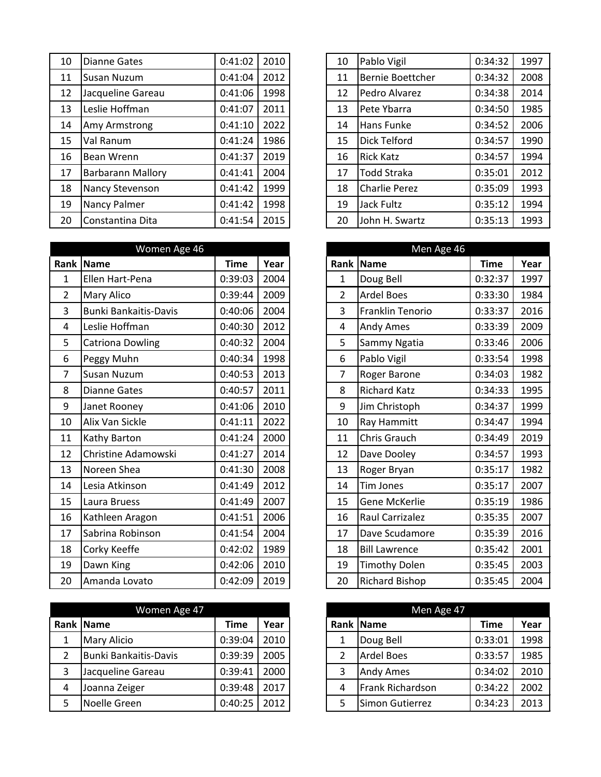| 10 | <b>Dianne Gates</b>      | 0:41:02 | 2010 | 10 | Pablo Vigil          | 0:34:32 | 1997 |
|----|--------------------------|---------|------|----|----------------------|---------|------|
| 11 | <b>Susan Nuzum</b>       | 0:41:04 | 2012 | 11 | Bernie Boettcher     | 0:34:32 | 2008 |
| 12 | Jacqueline Gareau        | 0:41:06 | 1998 | 12 | Pedro Alvarez        | 0:34:38 | 2014 |
| 13 | Leslie Hoffman           | 0:41:07 | 2011 | 13 | Pete Ybarra          | 0:34:50 | 1985 |
| 14 | Amy Armstrong            | 0:41:10 | 2022 | 14 | Hans Funke           | 0:34:52 | 2006 |
| 15 | Val Ranum                | 0:41:24 | 1986 | 15 | <b>Dick Telford</b>  | 0:34:57 | 1990 |
| 16 | Bean Wrenn               | 0:41:37 | 2019 | 16 | <b>Rick Katz</b>     | 0:34:57 | 1994 |
| 17 | <b>Barbarann Mallory</b> | 0:41:41 | 2004 | 17 | <b>Todd Straka</b>   | 0:35:01 | 2012 |
| 18 | Nancy Stevenson          | 0:41:42 | 1999 | 18 | <b>Charlie Perez</b> | 0:35:09 | 1993 |
| 19 | Nancy Palmer             | 0:41:42 | 1998 | 19 | Jack Fultz           | 0:35:12 | 1994 |
| 20 | Constantina Dita         | 0:41:54 | 2015 | 20 | John H. Swartz       | 0:35:13 | 1993 |

|                | Women Age 46                 |             |      | Men Age 46     |                      |             |      |
|----------------|------------------------------|-------------|------|----------------|----------------------|-------------|------|
| Rank           | Name                         | <b>Time</b> | Year | Rank           | Name                 | <b>Time</b> | Year |
| 1              | Ellen Hart-Pena              | 0:39:03     | 2004 | $\mathbf{1}$   | Doug Bell            | 0:32:37     | 1997 |
| $\overline{2}$ | Mary Alico                   | 0:39:44     | 2009 | $\overline{2}$ | <b>Ardel Boes</b>    | 0:33:30     | 1984 |
| 3              | <b>Bunki Bankaitis-Davis</b> | 0:40:06     | 2004 | 3              | Franklin Tenorio     | 0:33:37     | 2016 |
| 4              | Leslie Hoffman               | 0:40:30     | 2012 | 4              | Andy Ames            | 0:33:39     | 2009 |
| 5              | <b>Catriona Dowling</b>      | 0:40:32     | 2004 | 5              | Sammy Ngatia         | 0:33:46     | 2006 |
| 6              | Peggy Muhn                   | 0:40:34     | 1998 | 6              | Pablo Vigil          | 0:33:54     | 1998 |
| $\overline{7}$ | Susan Nuzum                  | 0:40:53     | 2013 | $\overline{7}$ | Roger Barone         | 0:34:03     | 1982 |
| 8              | <b>Dianne Gates</b>          | 0:40:57     | 2011 | 8              | <b>Richard Katz</b>  | 0:34:33     | 1995 |
| 9              | Janet Rooney                 | 0:41:06     | 2010 | 9              | Jim Christoph        | 0:34:37     | 1999 |
| 10             | Alix Van Sickle              | 0:41:11     | 2022 | 10             | Ray Hammitt          | 0:34:47     | 1994 |
| 11             | Kathy Barton                 | 0:41:24     | 2000 | 11             | Chris Grauch         | 0:34:49     | 2019 |
| 12             | Christine Adamowski          | 0:41:27     | 2014 | 12             | Dave Dooley          | 0:34:57     | 1993 |
| 13             | Noreen Shea                  | 0:41:30     | 2008 | 13             | Roger Bryan          | 0:35:17     | 1982 |
| 14             | Lesia Atkinson               | 0:41:49     | 2012 | 14             | <b>Tim Jones</b>     | 0:35:17     | 2007 |
| 15             | Laura Bruess                 | 0:41:49     | 2007 | 15             | Gene McKerlie        | 0:35:19     | 1986 |
| 16             | Kathleen Aragon              | 0:41:51     | 2006 | 16             | Raul Carrizalez      | 0:35:35     | 2007 |
| 17             | Sabrina Robinson             | 0:41:54     | 2004 | 17             | Dave Scudamore       | 0:35:39     | 2016 |
| 18             | Corky Keeffe                 | 0:42:02     | 1989 | 18             | <b>Bill Lawrence</b> | 0:35:42     | 2001 |
| 19             | Dawn King                    | 0:42:06     | 2010 | 19             | <b>Timothy Dolen</b> | 0:35:45     | 2003 |
| 20             | Amanda Lovato                | 0:42:09     | 2019 | 20             | Richard Bishop       | 0:35:45     | 2004 |

| Women Age 47 |                       |         |      | Men Age 47 |   |                   |             |      |
|--------------|-----------------------|---------|------|------------|---|-------------------|-------------|------|
|              | Rank Name             | Time    | Year |            |   | Rank Name         | <b>Time</b> | Year |
|              | <b>Mary Alicio</b>    | 0:39:04 | 2010 |            |   | Doug Bell         | 0:33:01     | 1998 |
| 2            | Bunki Bankaitis-Davis | 0:39:39 | 2005 |            | 2 | <b>Ardel Boes</b> | 0:33:57     | 1985 |
| 3            | Jacqueline Gareau     | 0:39:41 | 2000 |            | 3 | <b>Andy Ames</b>  | 0:34:02     | 2010 |
| 4            | Joanna Zeiger         | 0:39:48 | 2017 |            | 4 | Frank Richardson  | 0:34:22     | 2002 |
| 5            | Noelle Green          | 0:40:25 | 2012 |            | 5 | Simon Gutierrez   | 0:34:23     | 2013 |

| 10 | Pablo Vigil             | 0:34:32 | 1997 |
|----|-------------------------|---------|------|
| 11 | <b>Bernie Boettcher</b> | 0:34:32 | 2008 |
| 12 | Pedro Alvarez           | 0:34:38 | 2014 |
| 13 | Pete Ybarra             | 0:34:50 | 1985 |
| 14 | Hans Funke              | 0:34:52 | 2006 |
| 15 | Dick Telford            | 0:34:57 | 1990 |
| 16 | <b>Rick Katz</b>        | 0:34:57 | 1994 |
| 17 | <b>Todd Straka</b>      | 0:35:01 | 2012 |
| 18 | <b>Charlie Perez</b>    | 0:35:09 | 1993 |
| 19 | <b>Jack Fultz</b>       | 0:35:12 | 1994 |
| 20 | John H. Swartz          | 0:35:13 | 1993 |

|                | Men Age 46              |             |      |
|----------------|-------------------------|-------------|------|
| Rank           | <b>Name</b>             | <b>Time</b> | Year |
| $\mathbf 1$    | Doug Bell               | 0:32:37     | 1997 |
| $\overline{2}$ | <b>Ardel Boes</b>       | 0:33:30     | 1984 |
| 3              | <b>Franklin Tenorio</b> | 0:33:37     | 2016 |
| 4              | Andy Ames               | 0:33:39     | 2009 |
| 5              | Sammy Ngatia            | 0:33:46     | 2006 |
| 6              | Pablo Vigil             | 0:33:54     | 1998 |
| 7              | Roger Barone            | 0:34:03     | 1982 |
| 8              | <b>Richard Katz</b>     | 0:34:33     | 1995 |
| 9              | Jim Christoph           | 0:34:37     | 1999 |
| 10             | Ray Hammitt             | 0:34:47     | 1994 |
| 11             | <b>Chris Grauch</b>     | 0:34:49     | 2019 |
| 12             | Dave Dooley             | 0:34:57     | 1993 |
| 13             | Roger Bryan             | 0:35:17     | 1982 |
| 14             | <b>Tim Jones</b>        | 0:35:17     | 2007 |
| 15             | Gene McKerlie           | 0:35:19     | 1986 |
| 16             | <b>Raul Carrizalez</b>  | 0:35:35     | 2007 |
| 17             | Dave Scudamore          | 0:35:39     | 2016 |
| 18             | <b>Bill Lawrence</b>    | 0:35:42     | 2001 |
| 19             | <b>Timothy Dolen</b>    | 0:35:45     | 2003 |
| 20             | <b>Richard Bishop</b>   | 0:35:45     | 2004 |

|      | Men Age 47              |             |      |  |  |  |  |  |  |
|------|-------------------------|-------------|------|--|--|--|--|--|--|
| Rank | <b>Name</b>             | <b>Time</b> | Year |  |  |  |  |  |  |
| 1    | Doug Bell               | 0:33:01     | 1998 |  |  |  |  |  |  |
| 2    | <b>Ardel Boes</b>       | 0:33:57     | 1985 |  |  |  |  |  |  |
| 3    | <b>Andy Ames</b>        | 0:34:02     | 2010 |  |  |  |  |  |  |
| 4    | <b>Frank Richardson</b> | 0:34:22     | 2002 |  |  |  |  |  |  |
| 5    | Simon Gutierrez         | 0:34:23     | 2013 |  |  |  |  |  |  |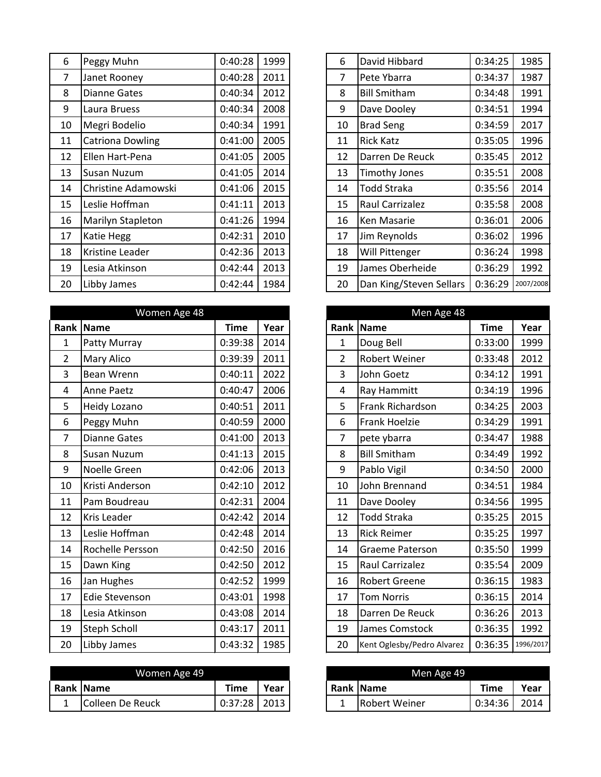| 6              | Peggy Muhn               | 0:40:28 | 1999 | 6              | David Hibbard           | 0:34:25 | 1985      |
|----------------|--------------------------|---------|------|----------------|-------------------------|---------|-----------|
| $\overline{7}$ | Janet Rooney             | 0:40:28 | 2011 | $\overline{7}$ | Pete Ybarra             | 0:34:37 | 1987      |
| 8              | Dianne Gates             | 0:40:34 | 2012 | 8              | <b>Bill Smitham</b>     | 0:34:48 | 1991      |
| 9              | Laura Bruess             | 0:40:34 | 2008 | 9              | Dave Dooley             | 0:34:51 | 1994      |
| 10             | Megri Bodelio            | 0:40:34 | 1991 | 10             | <b>Brad Seng</b>        | 0:34:59 | 2017      |
| 11             | <b>Catriona Dowling</b>  | 0:41:00 | 2005 | 11             | <b>Rick Katz</b>        | 0:35:05 | 1996      |
| 12             | Ellen Hart-Pena          | 0:41:05 | 2005 | 12             | Darren De Reuck         | 0:35:45 | 2012      |
| 13             | Susan Nuzum              | 0:41:05 | 2014 | 13             | <b>Timothy Jones</b>    | 0:35:51 | 2008      |
| 14             | Christine Adamowski      | 0:41:06 | 2015 | 14             | <b>Todd Straka</b>      | 0:35:56 | 2014      |
| 15             | Leslie Hoffman           | 0:41:11 | 2013 | 15             | Raul Carrizalez         | 0:35:58 | 2008      |
| 16             | <b>Marilyn Stapleton</b> | 0:41:26 | 1994 | 16             | Ken Masarie             | 0:36:01 | 2006      |
| 17             | Katie Hegg               | 0:42:31 | 2010 | 17             | Jim Reynolds            | 0:36:02 | 1996      |
| 18             | Kristine Leader          | 0:42:36 | 2013 | 18             | <b>Will Pittenger</b>   | 0:36:24 | 1998      |
| 19             | Lesia Atkinson           | 0:42:44 | 2013 | 19             | James Oberheide         | 0:36:29 | 1992      |
| 20             | Libby James              | 0:42:44 | 1984 | 20             | Dan King/Steven Sellars | 0:36:29 | 2007/2008 |

| Women Age 48   |                     |             | Men Age 48 |                |                            |             |           |
|----------------|---------------------|-------------|------------|----------------|----------------------------|-------------|-----------|
| Rank           | Name                | <b>Time</b> | Year       | Rank           | <b>Name</b>                | <b>Time</b> | Year      |
| $\mathbf{1}$   | Patty Murray        | 0:39:38     | 2014       | $\mathbf{1}$   | Doug Bell                  | 0:33:00     | 1999      |
| $\overline{2}$ | Mary Alico          | 0:39:39     | 2011       | $\overline{2}$ | Robert Weiner              | 0:33:48     | 2012      |
| 3              | Bean Wrenn          | 0:40:11     | 2022       | 3              | John Goetz                 | 0:34:12     | 1991      |
| 4              | <b>Anne Paetz</b>   | 0:40:47     | 2006       | $\overline{4}$ | Ray Hammitt                | 0:34:19     | 1996      |
| 5              | Heidy Lozano        | 0:40:51     | 2011       | 5              | Frank Richardson           | 0:34:25     | 2003      |
| 6              | Peggy Muhn          | 0:40:59     | 2000       | 6              | <b>Frank Hoelzie</b>       | 0:34:29     | 1991      |
| 7              | <b>Dianne Gates</b> | 0:41:00     | 2013       | 7              | pete ybarra                | 0:34:47     | 1988      |
| 8              | Susan Nuzum         | 0:41:13     | 2015       | 8              | <b>Bill Smitham</b>        | 0:34:49     | 1992      |
| 9              | Noelle Green        | 0:42:06     | 2013       | 9              | Pablo Vigil                | 0:34:50     | 2000      |
| 10             | Kristi Anderson     | 0:42:10     | 2012       | 10             | John Brennand              | 0:34:51     | 1984      |
| 11             | Pam Boudreau        | 0:42:31     | 2004       | 11             | Dave Dooley                | 0:34:56     | 1995      |
| 12             | Kris Leader         | 0:42:42     | 2014       | 12             | <b>Todd Straka</b>         | 0:35:25     | 2015      |
| 13             | Leslie Hoffman      | 0:42:48     | 2014       | 13             | <b>Rick Reimer</b>         | 0:35:25     | 1997      |
| 14             | Rochelle Persson    | 0:42:50     | 2016       | 14             | <b>Graeme Paterson</b>     | 0:35:50     | 1999      |
| 15             | Dawn King           | 0:42:50     | 2012       | 15             | Raul Carrizalez            | 0:35:54     | 2009      |
| 16             | Jan Hughes          | 0:42:52     | 1999       | 16             | <b>Robert Greene</b>       | 0:36:15     | 1983      |
| 17             | Edie Stevenson      | 0:43:01     | 1998       | 17             | <b>Tom Norris</b>          | 0:36:15     | 2014      |
| 18             | Lesia Atkinson      | 0:43:08     | 2014       | 18             | Darren De Reuck            | 0:36:26     | 2013      |
| 19             | <b>Steph Scholl</b> | 0:43:17     | 2011       | 19             | James Comstock             | 0:36:35     | 1992      |
| 20             | Libby James         | 0:43:32     | 1985       | 20             | Kent Oglesby/Pedro Alvarez | 0:36:35     | 1996/2017 |

| Women Age 49 |                  |         |      | Men Age 49 |               |         |      |
|--------------|------------------|---------|------|------------|---------------|---------|------|
|              | <b>Rank Name</b> | Time    | Year |            | Rank Name     | Time    | Year |
| -            | Colleen De Reuck | 0:37:28 | 2013 |            | Robert Weiner | 0:34:36 | 2014 |

| 6  | David Hibbard           | 0:34:25 | 1985      |
|----|-------------------------|---------|-----------|
| 7  | Pete Ybarra             | 0:34:37 | 1987      |
| 8  | <b>Bill Smitham</b>     | 0:34:48 | 1991      |
| 9  | Dave Dooley             | 0:34:51 | 1994      |
| 10 | <b>Brad Seng</b>        | 0:34:59 | 2017      |
| 11 | <b>Rick Katz</b>        | 0:35:05 | 1996      |
| 12 | Darren De Reuck         | 0:35:45 | 2012      |
| 13 | Timothy Jones           | 0:35:51 | 2008      |
| 14 | <b>Todd Straka</b>      | 0:35:56 | 2014      |
| 15 | Raul Carrizalez         | 0:35:58 | 2008      |
| 16 | Ken Masarie             | 0:36:01 | 2006      |
| 17 | Jim Reynolds            | 0:36:02 | 1996      |
| 18 | Will Pittenger          | 0:36:24 | 1998      |
| 19 | James Oberheide         | 0:36:29 | 1992      |
| 20 | Dan King/Steven Sellars | 0:36:29 | 2007/2008 |

| Men Age 48     |                            |             |           |  |  |  |  |
|----------------|----------------------------|-------------|-----------|--|--|--|--|
| Rank           | <b>Name</b>                | <b>Time</b> | Year      |  |  |  |  |
| 1              | Doug Bell                  | 0:33:00     | 1999      |  |  |  |  |
| $\overline{2}$ | <b>Robert Weiner</b>       | 0:33:48     | 2012      |  |  |  |  |
| 3              | John Goetz                 | 0:34:12     | 1991      |  |  |  |  |
| 4              | Ray Hammitt                | 0:34:19     | 1996      |  |  |  |  |
| 5              | Frank Richardson           | 0:34:25     | 2003      |  |  |  |  |
| 6              | <b>Frank Hoelzie</b>       | 0:34:29     | 1991      |  |  |  |  |
| 7              | pete ybarra                | 0:34:47     | 1988      |  |  |  |  |
| 8              | <b>Bill Smitham</b>        | 0:34:49     | 1992      |  |  |  |  |
| 9              | Pablo Vigil                | 0:34:50     | 2000      |  |  |  |  |
| 10             | John Brennand              | 0:34:51     | 1984      |  |  |  |  |
| 11             | Dave Dooley                | 0:34:56     | 1995      |  |  |  |  |
| 12             | <b>Todd Straka</b>         | 0:35:25     | 2015      |  |  |  |  |
| 13             | <b>Rick Reimer</b>         | 0:35:25     | 1997      |  |  |  |  |
| 14             | <b>Graeme Paterson</b>     | 0:35:50     | 1999      |  |  |  |  |
| 15             | Raul Carrizalez            | 0:35:54     | 2009      |  |  |  |  |
| 16             | <b>Robert Greene</b>       | 0:36:15     | 1983      |  |  |  |  |
| 17             | <b>Tom Norris</b>          | 0:36:15     | 2014      |  |  |  |  |
| 18             | Darren De Reuck            | 0:36:26     | 2013      |  |  |  |  |
| 19             | James Comstock             | 0:36:35     | 1992      |  |  |  |  |
| 20             | Kent Oglesby/Pedro Alvarez | 0:36:35     | 1996/2017 |  |  |  |  |

| Men Age 49 |               |             |       |  |  |
|------------|---------------|-------------|-------|--|--|
|            | Rank Name     | <b>Time</b> | Year  |  |  |
|            | Robert Weiner | 0:34:36     | -2014 |  |  |